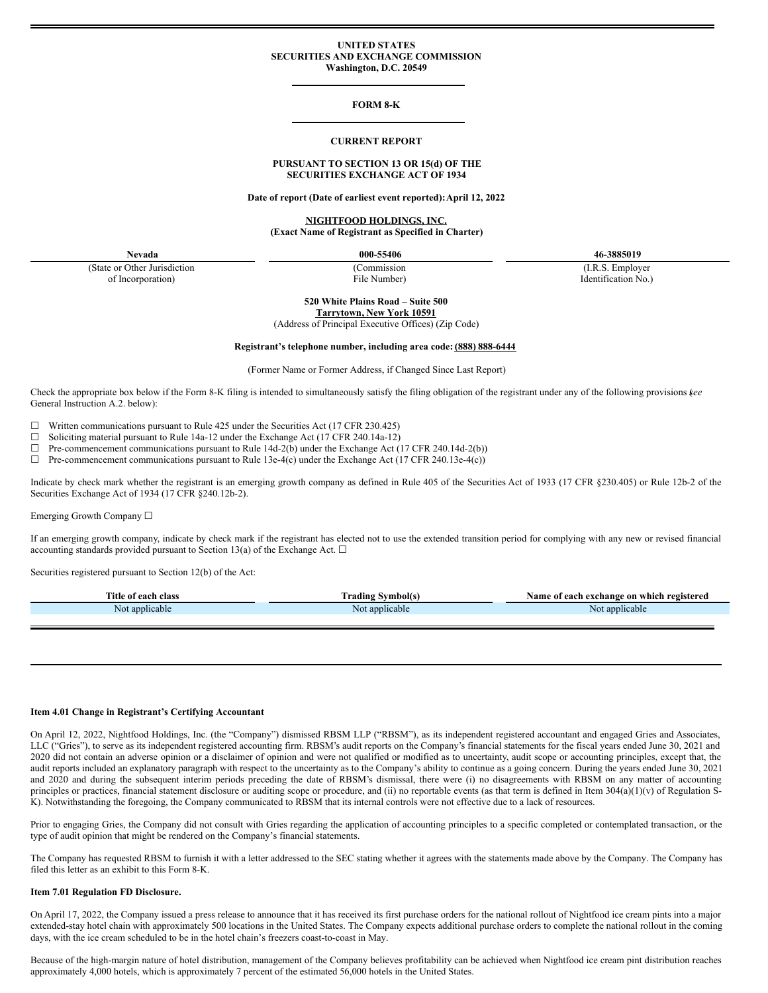### **UNITED STATES SECURITIES AND EXCHANGE COMMISSION Washington, D.C. 20549**

# **FORM 8-K**

#### **CURRENT REPORT**

# **PURSUANT TO SECTION 13 OR 15(d) OF THE SECURITIES EXCHANGE ACT OF 1934**

**Date of report (Date of earliest event reported):April 12, 2022**

# **NIGHTFOOD HOLDINGS, INC. (Exact Name of Registrant as Specified in Charter)**

(State or Other Jurisdiction of Incorporation)

**Nevada 000-55406 46-3885019**

(Commission File Number)

(I.R.S. Employer Identification No.)

**520 White Plains Road – Suite 500 Tarrytown, New York 10591**

(Address of Principal Executive Offices) (Zip Code)

### **Registrant's telephone number, including area code: (888) 888-6444**

(Former Name or Former Address, if Changed Since Last Report)

Check the appropriate box below if the Form 8-K filing is intended to simultaneously satisfy the filing obligation of the registrant under any of the following provisions (*see* General Instruction A.2. below):

 $\Box$  Written communications pursuant to Rule 425 under the Securities Act (17 CFR 230.425)  $\Box$  Soliciting material pursuant to Rule 14a-12 under the Exchange Act (17 CFR 240.14a-12) □ Soliciting material pursuant to Rule 14a-12 under the Exchange Act (17 CFR 240.14a-12)<br>□ Pre-commencement communications pursuant to Rule 14d-2(b) under the Exchange Act (

Pre-commencement communications pursuant to Rule 14d-2(b) under the Exchange Act (17 CFR 240.14d-2(b))

 $\Box$  Pre-commencement communications pursuant to Rule 13e-4(c) under the Exchange Act (17 CFR 240.13e-4(c))

Indicate by check mark whether the registrant is an emerging growth company as defined in Rule 405 of the Securities Act of 1933 (17 CFR §230.405) or Rule 12b-2 of the Securities Exchange Act of 1934 (17 CFR §240.12b-2).

Emerging Growth Company ☐

If an emerging growth company, indicate by check mark if the registrant has elected not to use the extended transition period for complying with any new or revised financial accounting standards provided pursuant to Section 13(a) of the Exchange Act.  $\Box$ 

Securities registered pursuant to Section 12(b) of the Act:

| Title of each<br>class | $\sim$<br>Symbol(s)<br>radıng | registered<br>Name<br>e of each exchange on which 1 |
|------------------------|-------------------------------|-----------------------------------------------------|
| t applicable<br>NOI    | applicable<br>Not             | applicable<br>N01                                   |
|                        |                               |                                                     |

# **Item 4.01 Change in Registrant's Certifying Accountant**

On April 12, 2022, Nightfood Holdings, Inc. (the "Company") dismissed RBSM LLP ("RBSM"), as its independent registered accountant and engaged Gries and Associates, LLC ("Gries"), to serve as its independent registered accounting firm. RBSM's audit reports on the Company's financial statements for the fiscal years ended June 30, 2021 and 2020 did not contain an adverse opinion or a disclaimer of opinion and were not qualified or modified as to uncertainty, audit scope or accounting principles, except that, the audit reports included an explanatory paragraph with respect to the uncertainty as to the Company's ability to continue as a going concern. During the years ended June 30, 2021 and 2020 and during the subsequent interim periods preceding the date of RBSM's dismissal, there were (i) no disagreements with RBSM on any matter of accounting principles or practices, financial statement disclosure or auditing scope or procedure, and (ii) no reportable events (as that term is defined in Item 304(a)(1)(v) of Regulation S-K). Notwithstanding the foregoing, the Company communicated to RBSM that its internal controls were not effective due to a lack of resources.

Prior to engaging Gries, the Company did not consult with Gries regarding the application of accounting principles to a specific completed or contemplated transaction, or the type of audit opinion that might be rendered on the Company's financial statements.

The Company has requested RBSM to furnish it with a letter addressed to the SEC stating whether it agrees with the statements made above by the Company. The Company has filed this letter as an exhibit to this Form 8-K.

### **Item 7.01 Regulation FD Disclosure.**

On April 17, 2022, the Company issued a press release to announce that it has received its first purchase orders for the national rollout of Nightfood ice cream pints into a major extended-stay hotel chain with approximately 500 locations in the United States. The Company expects additional purchase orders to complete the national rollout in the coming days, with the ice cream scheduled to be in the hotel chain's freezers coast-to-coast in May.

Because of the high-margin nature of hotel distribution, management of the Company believes profitability can be achieved when Nightfood ice cream pint distribution reaches approximately 4,000 hotels, which is approximately 7 percent of the estimated 56,000 hotels in the United States.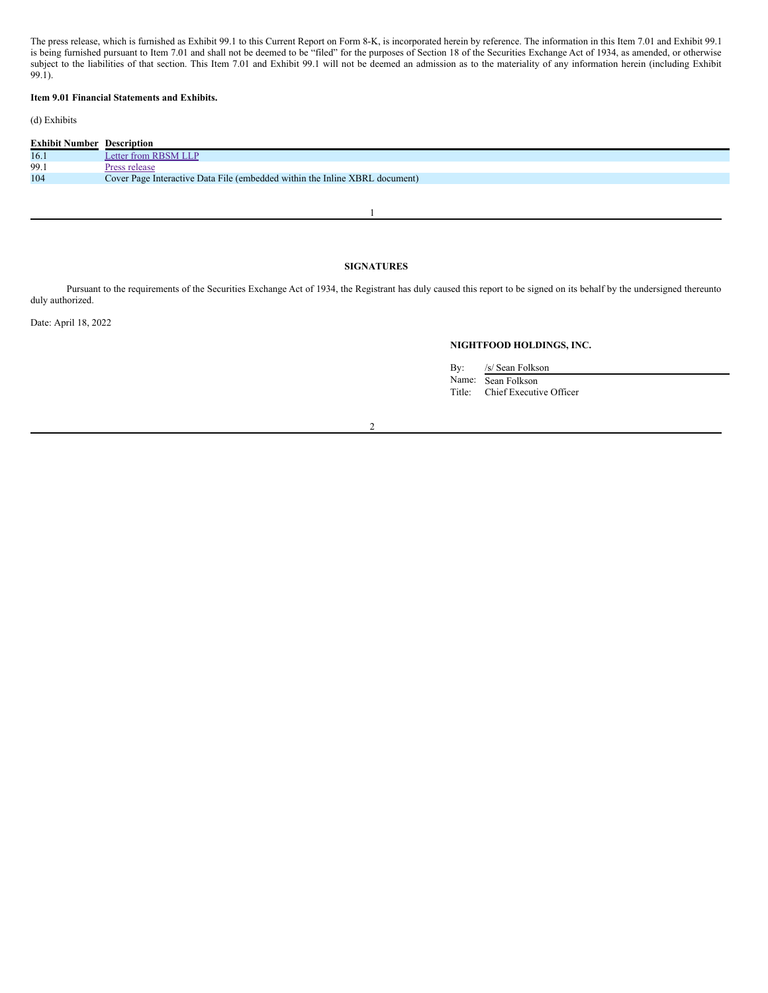The press release, which is furnished as Exhibit 99.1 to this Current Report on Form 8-K, is incorporated herein by reference. The information in this Item 7.01 and Exhibit 99.1 is being furnished pursuant to Item 7.01 and shall not be deemed to be "filed" for the purposes of Section 18 of the Securities Exchange Act of 1934, as amended, or otherwise subject to the liabilities of that section. This Item 7.01 and Exhibit 99.1 will not be deemed an admission as to the materiality of any information herein (including Exhibit 99.1).

# **Item 9.01 Financial Statements and Exhibits.**

# (d) Exhibits

| <b>Exhibit Number Description</b> |                                                                             |
|-----------------------------------|-----------------------------------------------------------------------------|
| 16.1                              | Letter from RBSM LLP                                                        |
| 99.1                              | Press release                                                               |
| 104                               | Cover Page Interactive Data File (embedded within the Inline XBRL document) |
|                                   |                                                                             |

1

# **SIGNATURES**

Pursuant to the requirements of the Securities Exchange Act of 1934, the Registrant has duly caused this report to be signed on its behalf by the undersigned thereunto duly authorized.

Date: April 18, 2022

# **NIGHTFOOD HOLDINGS, INC.**

By: /s/ Sean Folkson Name: Sean Folkson Title: Chief Executive Officer

2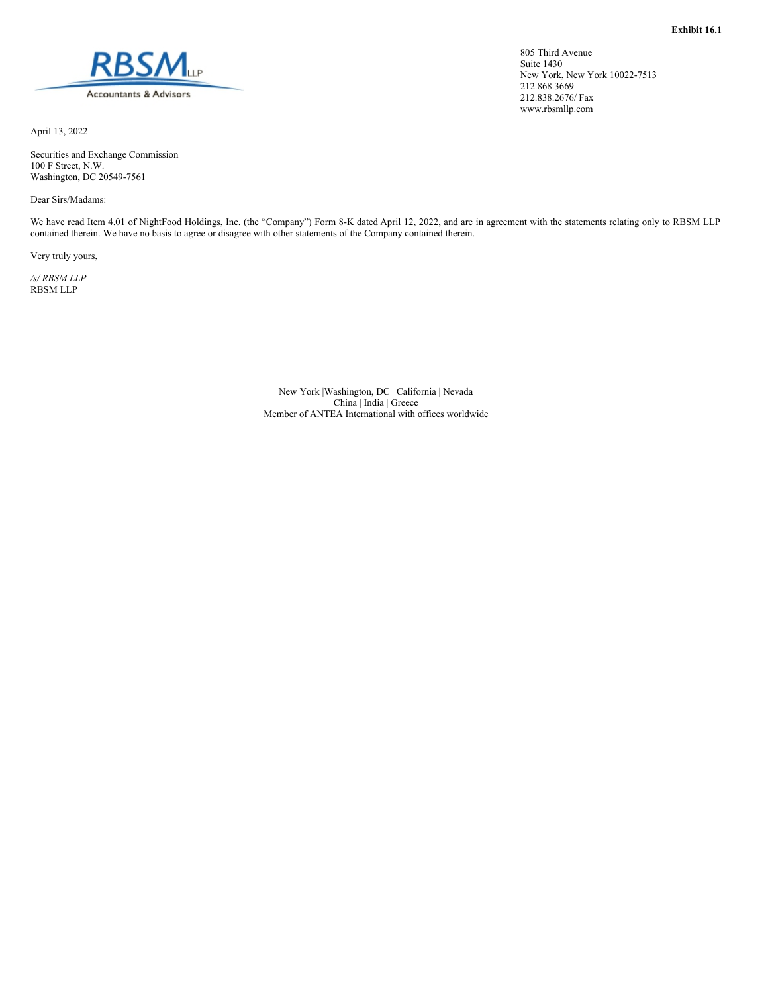<span id="page-2-0"></span>

April 13, 2022

Securities and Exchange Commission 100 F Street, N.W. Washington, DC 20549-7561

Dear Sirs/Madams:

We have read Item 4.01 of NightFood Holdings, Inc. (the "Company") Form 8-K dated April 12, 2022, and are in agreement with the statements relating only to RBSM LLP contained therein. We have no basis to agree or disagree with other statements of the Company contained therein.

Very truly yours,

*/s/ RBSM LLP* RBSM LLP

> New York |Washington, DC | California | Nevada China | India | Greece Member of ANTEA International with offices worldwide

805 Third Avenue Suite 1430 New York, New York 10022-7513 212.868.3669 212.838.2676/ Fax www.rbsmllp.com